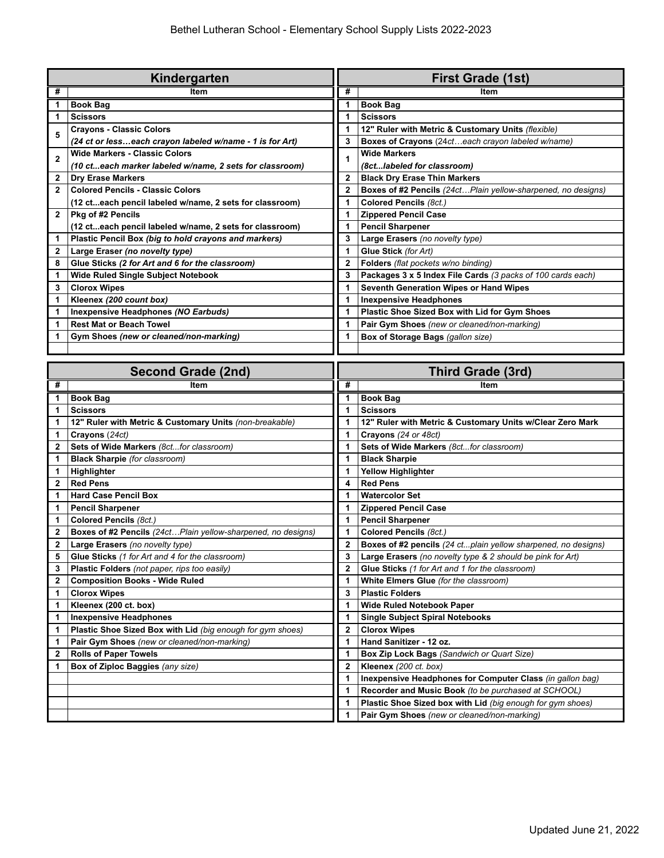| Kindergarten   |                                                          |              | <b>First Grade (1st)</b>                                     |  |
|----------------|----------------------------------------------------------|--------------|--------------------------------------------------------------|--|
| #              | Item                                                     | #            | Item                                                         |  |
|                | <b>Book Bag</b>                                          |              | <b>Book Bag</b>                                              |  |
| 1              | <b>Scissors</b>                                          |              | <b>Scissors</b>                                              |  |
| 5              | <b>Crayons - Classic Colors</b>                          |              | 12" Ruler with Metric & Customary Units (flexible)           |  |
|                | (24 ct or lesseach crayon labeled w/name - 1 is for Art) | 3            | Boxes of Crayons (24cteach crayon labeled w/name)            |  |
| $\overline{2}$ | <b>Wide Markers - Classic Colors</b>                     |              | <b>Wide Markers</b>                                          |  |
|                | (10 cteach marker labeled w/name, 2 sets for classroom)  |              | (8ctlabeled for classroom)                                   |  |
| $\mathbf{2}$   | <b>Dry Erase Markers</b>                                 | $\mathbf{2}$ | <b>Black Dry Erase Thin Markers</b>                          |  |
| $\mathbf{2}$   | <b>Colored Pencils - Classic Colors</b>                  | 2            | Boxes of #2 Pencils (24ctPlain yellow-sharpened, no designs) |  |
|                | (12 cteach pencil labeled w/name, 2 sets for classroom)  |              | Colored Pencils (8ct.)                                       |  |
| $\mathbf{2}$   | Pkg of #2 Pencils                                        |              | <b>Zippered Pencil Case</b>                                  |  |
|                | (12 cteach pencil labeled w/name, 2 sets for classroom)  |              | <b>Pencil Sharpener</b>                                      |  |
| 1              | Plastic Pencil Box (big to hold crayons and markers)     | 3            | Large Erasers (no novelty type)                              |  |
| $\mathbf{2}$   | Large Eraser (no novelty type)                           |              | Glue Stick (for Art)                                         |  |
| 8              | Glue Sticks (2 for Art and 6 for the classroom)          | 2            | Folders (flat pockets w/no binding)                          |  |
| 1              | <b>Wide Ruled Single Subject Notebook</b>                | 3            | Packages 3 x 5 Index File Cards (3 packs of 100 cards each)  |  |
| 3              | <b>Clorox Wipes</b>                                      |              | Seventh Generation Wipes or Hand Wipes                       |  |
|                | Kleenex (200 count box)                                  |              | <b>Inexpensive Headphones</b>                                |  |
|                | Inexpensive Headphones (NO Earbuds)                      |              | Plastic Shoe Sized Box with Lid for Gym Shoes                |  |
|                | <b>Rest Mat or Beach Towel</b>                           |              | Pair Gym Shoes (new or cleaned/non-marking)                  |  |
|                | Gym Shoes (new or cleaned/non-marking)                   |              | Box of Storage Bags (gallon size)                            |  |
|                |                                                          |              |                                                              |  |
|                |                                                          |              |                                                              |  |

| <b>Second Grade (2nd)</b> |                                                              | Third Grade (3rd) |                                                               |  |
|---------------------------|--------------------------------------------------------------|-------------------|---------------------------------------------------------------|--|
| #                         | Item                                                         | #                 | Item                                                          |  |
| 1                         | <b>Book Bag</b>                                              | 1                 | <b>Book Bag</b>                                               |  |
| 1                         | <b>Scissors</b>                                              |                   | <b>Scissors</b>                                               |  |
| 1                         | 12" Ruler with Metric & Customary Units (non-breakable)      | 1                 | 12" Ruler with Metric & Customary Units w/Clear Zero Mark     |  |
| 1                         | Crayons (24ct)                                               | 1                 | Crayons (24 or 48ct)                                          |  |
| $\mathbf{2}$              | Sets of Wide Markers (8ctfor classroom)                      |                   | Sets of Wide Markers (8ctfor classroom)                       |  |
| 1                         | <b>Black Sharpie</b> (for classroom)                         |                   | <b>Black Sharpie</b>                                          |  |
| 1                         | Highlighter                                                  |                   | <b>Yellow Highlighter</b>                                     |  |
| $\mathbf{2}$              | <b>Red Pens</b>                                              | 4                 | <b>Red Pens</b>                                               |  |
| 1                         | <b>Hard Case Pencil Box</b>                                  |                   | <b>Watercolor Set</b>                                         |  |
| 1                         | <b>Pencil Sharpener</b>                                      |                   | <b>Zippered Pencil Case</b>                                   |  |
| 1                         | Colored Pencils (8ct.)                                       |                   | <b>Pencil Sharpener</b>                                       |  |
| $\mathbf{2}$              | Boxes of #2 Pencils (24ctPlain yellow-sharpened, no designs) | 1                 | Colored Pencils (8ct.)                                        |  |
| $\mathbf{2}$              | Large Erasers (no novelty type)                              | 2                 | Boxes of #2 pencils (24 ctplain yellow sharpened, no designs) |  |
| 5                         | Glue Sticks (1 for Art and 4 for the classroom)              | 3                 | Large Erasers (no novelty type & 2 should be pink for Art)    |  |
| 3                         | Plastic Folders (not paper, rips too easily)                 | 2                 | Glue Sticks (1 for Art and 1 for the classroom)               |  |
| $\mathbf{2}$              | <b>Composition Books - Wide Ruled</b>                        |                   | White Elmers Glue (for the classroom)                         |  |
| 1                         | <b>Clorox Wipes</b>                                          | 3                 | <b>Plastic Folders</b>                                        |  |
| 1                         | Kleenex (200 ct. box)                                        |                   | <b>Wide Ruled Notebook Paper</b>                              |  |
| $\mathbf{1}$              | <b>Inexpensive Headphones</b>                                | 1                 | <b>Single Subject Spiral Notebooks</b>                        |  |
| 1                         | Plastic Shoe Sized Box with Lid (big enough for gym shoes)   | 2                 | <b>Clorox Wipes</b>                                           |  |
| 1                         | Pair Gym Shoes (new or cleaned/non-marking)                  | 1                 | Hand Sanitizer - 12 oz.                                       |  |
| 2                         | <b>Rolls of Paper Towels</b>                                 |                   | Box Zip Lock Bags (Sandwich or Quart Size)                    |  |
| 1                         | Box of Ziploc Baggies (any size)                             | 2                 | Kleenex (200 ct. box)                                         |  |
|                           |                                                              |                   | Inexpensive Headphones for Computer Class (in gallon bag)     |  |
|                           |                                                              |                   | Recorder and Music Book (to be purchased at SCHOOL)           |  |
|                           |                                                              | 1                 | Plastic Shoe Sized box with Lid (big enough for gym shoes)    |  |
|                           |                                                              |                   | Pair Gym Shoes (new or cleaned/non-marking)                   |  |